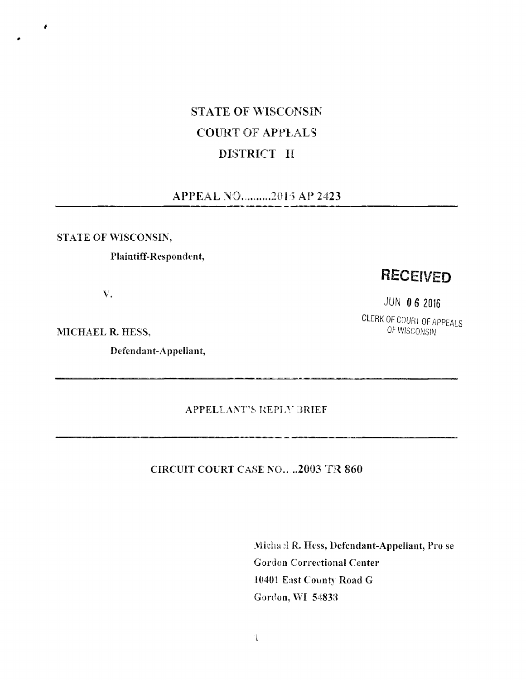# STATE OF WISCONSIN COURT OF APPEALS DISTRICT II

## APPEAL NO.........2015 AP 2423

#### **STATE OF WISCONSIN.**

**\***

### **Plaintiff-Respondent,**

v.

**MICHAEL R. HESS,** 

**Defendant-Appellant,**

# RECEIVED

JUN 0 6 2016

CLERK OF COURT OF APPEALS

**APPELLANT'S RE PIA' IRIEF**

للأساد الماري

**CIRCUIT COURT CASE NO.. ..2003 TR 860**

**Michael R. Hess, Defendant-Appellant, Pro** se Gordon Correctional **Center 10401 East County Road G Gordon,**YVI **54833**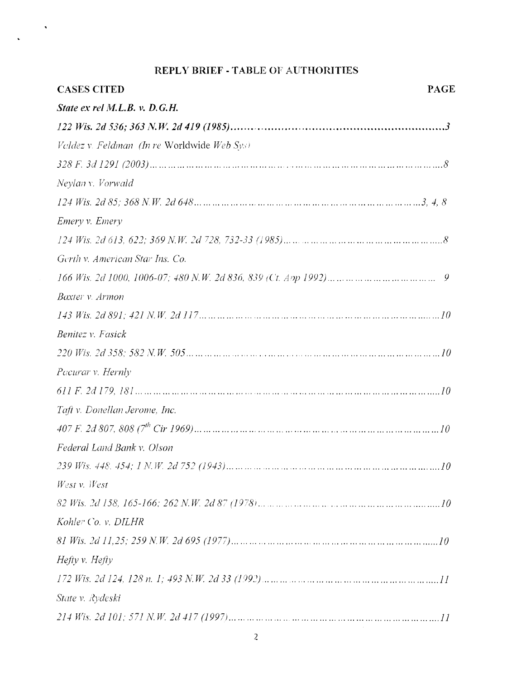## REPLY BRIEF - TABLE OF AUTHORITIES

 $\langle \bullet \rangle$ 

| <b>CASES CITED</b>                          | <b>PAGE</b> |
|---------------------------------------------|-------------|
| State ex rel M.L.B. v. D.G.H.               |             |
|                                             |             |
| Valdez v. Feldman (In re Worldwide Web Sys) |             |
|                                             |             |
| Neylan v. Vorwald                           |             |
|                                             |             |
| Emery v. Emery                              |             |
|                                             |             |
| Gerth v. American Star Ins. Co.             |             |
|                                             |             |
| Baxter v. Armon                             |             |
|                                             |             |
| Benitez v. Fasick                           |             |
|                                             |             |
| Pacurar v. Hernly                           |             |
|                                             |             |
| Taft v. Donellan Jerome, Inc.               |             |
|                                             |             |
| Federal Land Bank v. Olson                  |             |
|                                             |             |
| West v. West                                |             |
|                                             |             |
| Kohler Co. v. DILHR                         |             |
|                                             |             |
| Hefty v. Hefty                              |             |
|                                             |             |
| State v. Rydeski                            |             |
|                                             |             |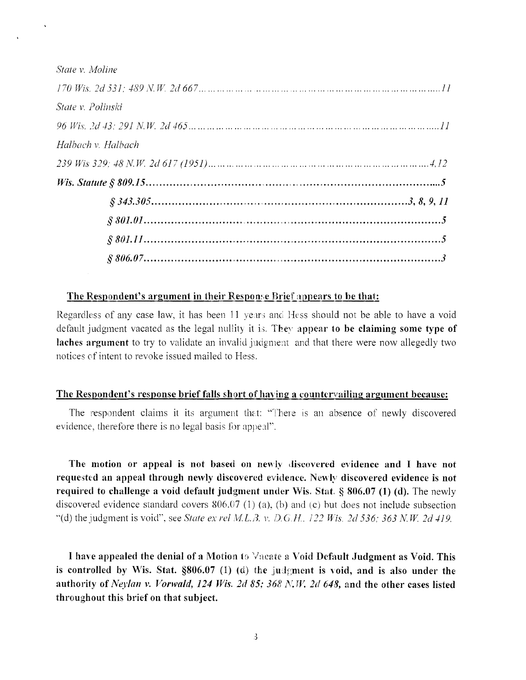| State y. Moline          |  |
|--------------------------|--|
|                          |  |
| <i>State v. Polinski</i> |  |
|                          |  |
| Halbach v. Halbach       |  |
|                          |  |
|                          |  |
|                          |  |
|                          |  |
|                          |  |
|                          |  |

#### The Respondent's argument in their Response Brief appears to be that:

Regardless of any case law, it has been <sup>11</sup> years and Hess should not be able to have a void default judgment vacated as the legal nullity it is. They appear to be claiming some type of laches argument to try to validate an invalid judgment and that there were now allegedly two notices of intent to revoke issued mailed to Hess.

#### The Respondent's response brief falls short of having <sup>a</sup> countervailing argument because:

The respondent claims it its argument that: "There is an absence of newly discovered evidence, therefore there is no legal basis for appeal".

The motion or appeal is not based on newly discovered evidence and I have not requested an appeal through newly discovered evidence. Newly discovered evidence is not required to challenge a void default judgment under Wis. Stat.  $\S$  806.07 (1) (d). The newly discovered evidence standard covers  $806.07$  (1) (a), (b) and (c) but does not include subsection "(d) the judgment is void", see *State ex rel ML.3.* v. *D.G.H. <sup>122</sup> Wis. 2d 536; <sup>363</sup> N. W. 2d 419.*

I have appealed the denial of <sup>a</sup> Motion to Vacate <sup>a</sup> Void Default Judgment as Void. This is controlled by Wis. Stat. §806.07 (1) (d) the judgment is void, and is also under the authority of*Neylan* v. *Vorwald, 124 Wis. 2d 85; <sup>368</sup> N.W. 2d 648,* and the other cases listed throughout this brief on that subject.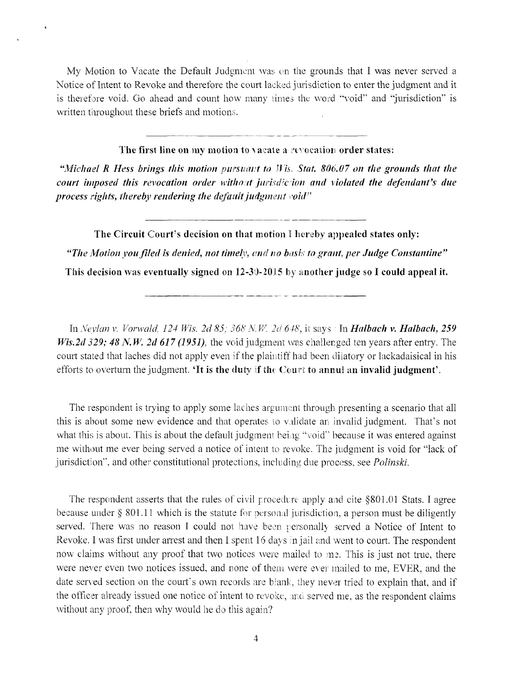My Motion to Vacate the Default Judgment was on the grounds that I was never served <sup>a</sup> Notice of Intent to Revoke and therefore the court lacked jurisdiction to enter the judgment and it is therefore void. Go ahead and count how many times the word **"void"** and **"jurisdiction"** is written throughout these briefs and motions.

**The first line on my motion to <sup>v</sup>** acate **a revocation order states:**

**"***Michael R Hess brings this motion pursuant to lYis, Stat. 806.07 on the grounds that the court imposed this revocation order without jurisdiction and violated the defendant's due process rights, thereby rendering the defaultjudgment void"*

**The Circuit** Court's **decision on that motion** I hereby **appealed states only: "***The Motion youfiled is denied, not timely, and no basis to grant, per Judge Constantine"* This **decision was eventually signed on 12-30-2015** by **another judge so I could appeal it.**

**In** *Neylan v. Vorwcdd, 124 Wis. 2d 85; 368 N. W. 2d 648,* it says • In *Halbach* **v.** *Halbach, 259 Wis.2d 329; 48 N.W. 2d 617 (1951),* the void judgment was challenged ten years after entry. The court stated that laches did not apply even if the plaintiff had been dilatory or lackadaisical in his efforts to overturn the judgment. 'It is the duty if the Court to annul **an invalid judgment'.**

The respondent is trying to apply some laches argument through presenting a scenario that all this is about some new evidence and that operates to validate an invalid judgment. That's not what this is about. This is about the default judgment being "void" because it was entered against me without me ever being served <sup>a</sup> notice of intent to revoke. The judgment is void for "lack of jurisdiction", and other constitutional protections, including due process, see *Polinski.*

The respondent asserts that the rules of civil procedure apply and cite §801.01 Stats. I agree because under § 801.11 which is the statute for personal jurisdiction, a person must be diligently served. There was no reason I could not have been personally served <sup>a</sup> Notice of Intent to Revoke. I was first under arrest and then I spent 16 days in jail and went to court. The respondent now claims without any proof that two notices were mailed to me. This is just not true, there were never even two notices issued, and none of them were ever mailed to me, EVER, and the date served section on the court's own records are blank, they never tried to explain that, and if the officer already issued one notice of intent to revoke, and served me, as the respondent claims **without** any **proof, then** why **would** he do **this** again?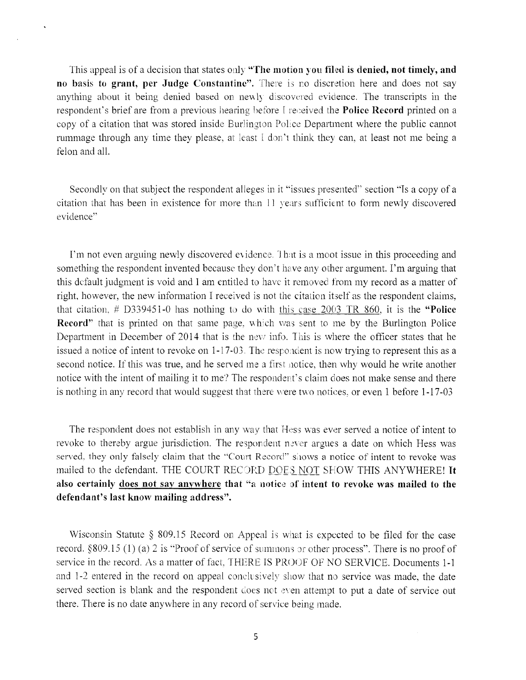This appeal is of <sup>a</sup> decision that states only **"The motion** you **filed is denied, not timely, and no** basis **to grant, per Judge Constantine".** There is no discretion here and does not say anything about it being denied based on newly discovered evidence. The transcripts in the respondent's brief are from <sup>a</sup> previous hearing before <sup>1</sup> received the **Police Record** printed on <sup>a</sup> copy of <sup>a</sup> citation that was stored inside Burlington Police Department where the public cannot rummage through any time they please, at least <sup>I</sup> don't think they can, at least not me being <sup>a</sup> felon and all.

Secondly on that subject the respondent alleges in it "issues presented" section "Is <sup>a</sup> copy of <sup>a</sup> citation that has been in existence for more than <sup>11</sup> years sufficient to form newly discovered evidence"

I'm not even arguing newly discovered evidence. <sup>1</sup> hat is <sup>a</sup> moot issue in this proceeding and something the respondent invented because they don't have any other argument. I'm arguing that this default judgment is void and I am entitled to have it removed from my record as a matter of right, however, the new information I received is not the citation itself as the respondent claims, that citation. *#* D339451-0 has nothing to do with this case <sup>2003</sup> TR 860. it is the **"Police Record"** that is printed on that same page, which was sent to me by the Burlington Police Department in December of 2014 that is the new info. This is where the officer states that he issued <sup>a</sup> notice of intent to revoke on 1-17-03. The respondent is now trying to represent this as <sup>a</sup> second notice. If this was true, and he served me a first notice, then why would he write another notice with the intent of mailing it to me? The respondent's claim does not make sense and there is nothing in any record that would suggest that there were two notices, or even <sup>1</sup> before 1-17-03

The respondent does not establish in any way that Hess was ever served a notice of intent to revoke to thereby argue jurisdiction. The respondent never argues a date on which Hess was served, they only falsely claim that the "Court Record" shows a notice of intent to revoke was mailed to the defendant. THE COURT RECORD DOE3\_NOT SHOW THIS ANYWHERE! **It also certainly does not say anywhere that "a notice of intent to revoke was mailed to the defendant's last know mailing address".**

Wisconsin Statute § 809.15 Record on Appeal is what is expected to be filed for the case record. §809,15 (1) (a) <sup>2</sup> is "Proof of service of summons or other process". There is no proof of service in the record. As a matter of fact, THERE IS PROOF OF NO SERVICE. Documents 1-1 and 1-2 entered in the record on appeal conclusively show that no service was made, the date served section is blank and the respondent does not even attempt to put <sup>a</sup> date of service out there. There is no date anywhere in any record of service being made.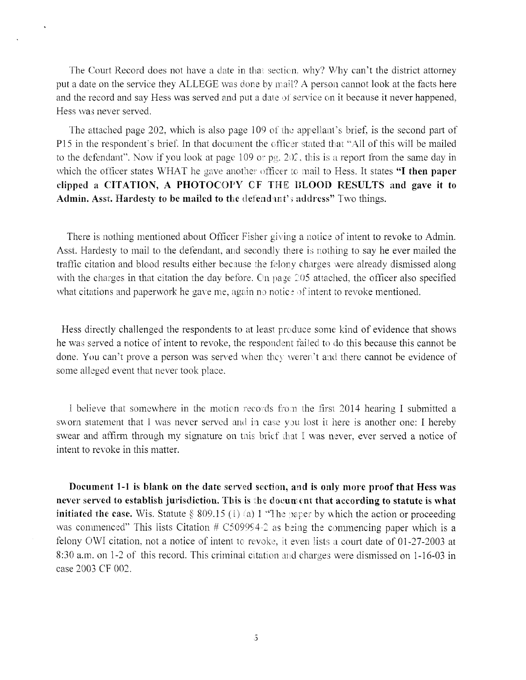The Court Record does not have a date in that section, why? Why can't the district attorney put a date on the service they ALLEGE was done by mail? A person cannot look at the facts here and the record and say Hess was served and put <sup>a</sup> date of service on it because it never happened, Hess was never served.

The attached page 202, which is also page <sup>109</sup> of the appellant's brief, is the second part of P15 in the respondent's brief. In that document the officer stated that "All of this will be mailed to the defendant". Now if you look at page 109 or pg.  $20\hat{z}$ , this is a report from the same day in which the officer states WHAT he gave another officer to mail to Hess. It states **"I then paper clipped <sup>a</sup> CITATION, A PHOTOCOPY CF** THE **BLOOD RESULTS and gave it to** Admin. Asst. Hardesty to be mailed to the defendant's address" Two things.

There is nothing mentioned about Officer Fisher giving <sup>a</sup> notice of intent to revoke to Admin. Asst. Hardesty to mail to the defendant, and secondly there is nothing to say he ever mailed the traffic citation and blood results either because the felony charges were already dismissed along with the charges in that citation the day before. On page  $205$  attached, the officer also specified what citations and paperwork he gave me, again no notice of intent to revoke mentioned.

Hess directly challenged the respondents to at least produce some kind of evidence that shows he was served <sup>a</sup> notice of intent to revoke, the respondent failed to do this because this cannot be done. You can't prove <sup>a</sup> person was served when they weren't and there cannot be evidence of some alleged event that never took place.

I believe that somewhere in the motion records from the first 2014 hearing I submitted a sworn statement that I was never served and in case you lost it here is another one: I hereby swear and affirm through my signature on this brief that I was never, ever served a notice of intent to revoke in this matter.

**Document 1-1 is blank on the date served section, and is only more proof that Hess was never served to establish jurisdiction.** This **is** the **document that according to statute is what initiated the case.** Wis. Statute  $\S 809.15$  (1) (a) 1 "The paper by which the action or proceeding was commenced" This lists Citation  $# C509994-2$  as being the commencing paper which is a felony OWI citation, not <sup>a</sup> notice of intent to revoke, it even lists <sup>a</sup> court date of 01-27-2003 at 8:30 a.m. on 1-2 of this record. This criminal citation and charges were dismissed on 1-16-03 in case 2003 CF 002.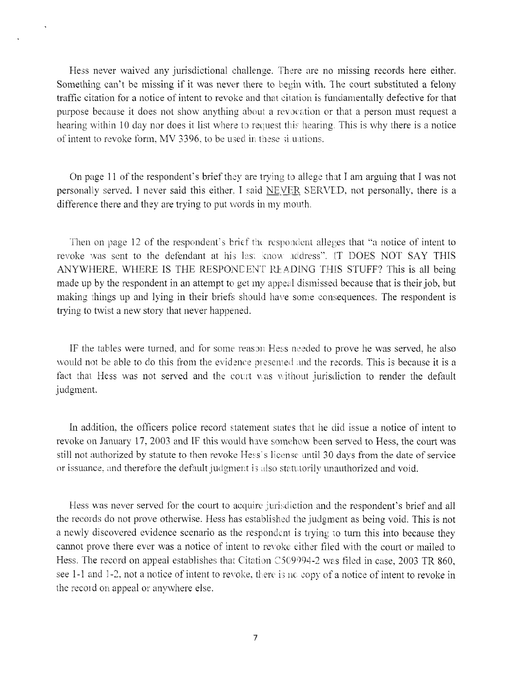Hess never waived any jurisdictional challenge. There are no missing records here either. Something can't be missing if it was never there to begin with. The court substituted <sup>a</sup> felony traffic citation for <sup>a</sup> notice of intent to revoke and that citation is fundamentally defective for that purpose because it does not show anything about <sup>a</sup> revocation or that a person must request <sup>a</sup> hearing within 10 day nor does it list where to request this hearing. This is why there is <sup>a</sup> notice of intent to revoke form, MV 3396. to be used in these fi unions.

On page <sup>11</sup> ofthe respondent's brief they are trying to allege that I am arguing that I was not personally served. I never said this either. <sup>T</sup> said INEVER SERVED, not personally, there is a difference there and they are trying to put words in my mouth.

Then on page 12 of the respondent's brief the respondent alleges that "a notice of intent to revoke was sent to the defendant at his last imow address". IT DOES NOT SAY THIS ANYWHERE, WHERE IS THE RESPONDENT READING THIS STUFF? This is all being made up by the respondent in an attempt to get my appeal dismissed because that is their job, but making things up and lying in their briefs should have some consequences. The respondent is trying to twist a new story that never happened.

IF the tables were turned, and for some reason Hess needed to prove he was served, he also would not be able to do this from the evidence presented and the records. This is because it is <sup>a</sup> fact that Hess was not served and the court was without jurisdiction to render the default judgment.

In addition, the officers police record statement states that he did issue <sup>a</sup> notice of intent to revoke on January 17, 2003 and IF this would have somehow been served to Hess, the court was still not authorized by statute to then revoke Hess's license until 30 days from the date of service or issuance, and therefore the default judgment is also statutorily unauthorized and void.

Hess was never served for the court to acquire jurisdiction and the respondent's brief and all the records do not prove otherwise. Hess has established the judgment as being void. This is not a newly discovered evidence scenario as the respondent is trying to turn this into because they cannot prove there ever was a notice of intent to revoke either filed with the court or mailed to Hess. The record on appeal establishes that Citation C509994-2 was filed in case, 2003 TR 860, see 1-1 and 1-2, not a notice of intent to revoke, there is nc copy of a notice of intent to revoke in the recoid on appeal or anywhere else.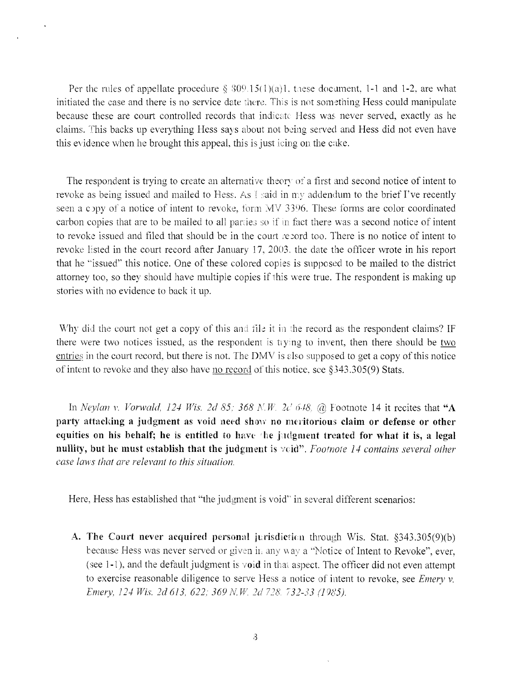Per the rules of appellate procedure  $\S 309.15(1)(a)1$ , these document, 1-1 and 1-2, are what initiated the case and there is no service date there. This is not something Hess could manipulate because these are court controlled records that indicate Hess was never served, exactly as he claims. This backs up everything Hess says about not being served and Hess did not even have this evidence when he brought this appeal, this is just icing on the cake.

The respondent is trying to create an alternative theory of <sup>a</sup> first and second notice of intent to revoke as being issued and mailed to Hess. As I said in my addendum to the brief I've recently seen a copy of a notice of intent to revoke, form MV 3396. These forms are color coordinated carbon copies that are to be mailed to all parries so if in fact there was <sup>a</sup> second notice of intent to revoke issued and filed that should be in the court record too. There is no notice of intent to revoke listed in the court record after January 17, 2003. the date the officer wrote in his report that he "issued'' this notice. One of these colored copies is supposed to be mailed to the district attorney too, so they should have multiple copies if this were true. The respondent is making up stories with no evidence to back it up.

Why did the court not get <sup>a</sup> copy of this and tile it in the record as the respondent claims? IF there were two notices issued, as the respondent is tiying to invent, then there should be two entries in the court record, but there is not. The DMV is also supposed to get a copy of this notice of intent to revoke and they also have no record of this notice, see  $\S$ 343.305(9) Stats.

In *Neylcm* v. *Vorwald, <sup>124</sup> Wis. 2d 85; <sup>368</sup> K. W. 2d 648,* @ Footnote <sup>14</sup> it recites that "A party attacking a judgment as void need show no meritorious claim or defense or other equities on his behalf; he is entitled to have the judgment treated for what it is, a legal nullity, but he must establish that the judgment is void". *Footnote <sup>14</sup> contains several other case laws that are relevant to this situation.*

Here, Hess has established that "the judgment is void" in several different scenarios:

A. The Court never acquired personal jurisdiction through Wis. Stat. §343.305(9)(b) because Hess was never served or given in any way a "Notice of Intent to Revoke", ever, (see 1-1), and the default judgment is void in that aspect. The officer did not even attempt to exercise reasonable diligence to serve Hess <sup>a</sup> notice of intent to revoke, see *Emery* v. *Emery, 124 Wis. 2d 613, 622; 369 N.W. 2d 728. 732-33 (1985).*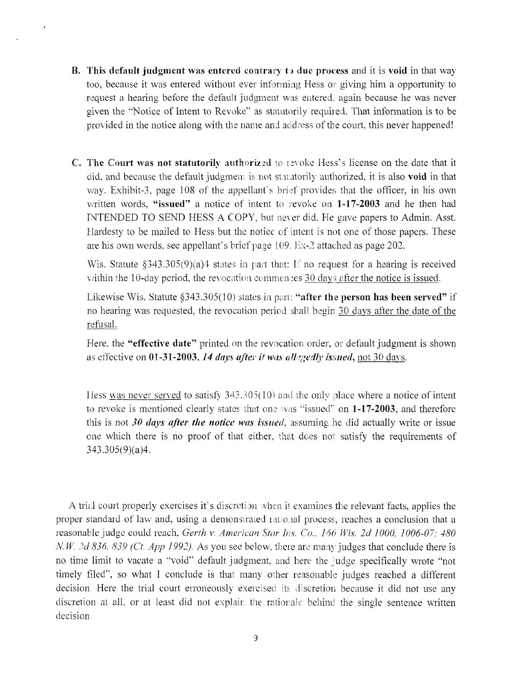**B.** This **default judgment** was **entered** contrary to **due** process and it is **void** in that way too, because it was entered without ever informing Hess or giving him a opportunity to request a hearing before the default judgment was entered, again because he was never given the "Notice of Intent to Revoke" as statutorily required. That information is to be provided in the notice along with the name and address of the court, this never happened!

 $\ddot{\phantom{0}}$ 

C. The Court was not statutorily authorized to revoke Hess's license on the date that it did. and because the default judgment is not statutorily authorized, it is also **void** in that way. Exhibit-3, page <sup>108</sup> of the appellant's brief provides that the officer, in his own written words, "issued" <sup>a</sup> notice of intent to revoke on **1-17-2003** and he then had INTENDED TO SEND HESS A COPY, but never did. He gave papers to Admin. Asst. Hardesty to be mailed to Hess but the notice of intent is not one of those papers. These are his own words, see appellant's brief page 109. Ex-2 attached as page 202.

Wis. Statute  $\S 343.305(9)(a)4$  states in part that: If no request for a hearing is received within the 10-day period, the revocation commences 30 days after the notice is issued.

Likewise Wis. Statute §343.305(10) states in part: **"after the person has been served"** if no hearing was requested, the revocation period shall begin 30 days after the date of the refusal.

Here, the **"effective date"** printed on the revocation order, or default judgment is shown as effective on **01-31-2003,***14 days after it was allegedly issued,* not 30 days.

Hess was never served to satisfy 343.305(10) and the only place **where** a notice of intent to revoke is mentioned clearly states that one vis ''issued'' on **1-17-2003,** and therefore this is not *30 days after the notice was issued*, assuming lie did actually write or issue one which there is no proof of that either, that does not satisfy the requirements of 343.305(9)(a)4.

A trial court properly exercises it's discretion when ii examines the relevant facts, applies the proper standard of law and, using a demonstrated rational process, reaches a conclusion that <sup>a</sup> reasonable judge could reach, *Gerth* v. *American Star Ins. Co.. 166 Wis. 2d 1000. 1006-07; 480 N.W. 2d 836, 839 (Ct. App 1992).* As you see below, there are many judges that conclude there is no time limit to vacate <sup>a</sup> "void" default judgment, and here the judge specifically wrote "not timely filed", so what I conclude is that many other reasonable judges reached <sup>a</sup> different decision. Here the trial court erroneously exercised its discretion because it did not use any discretion at all, or at least did not explain the rationale behind the single sentence written decision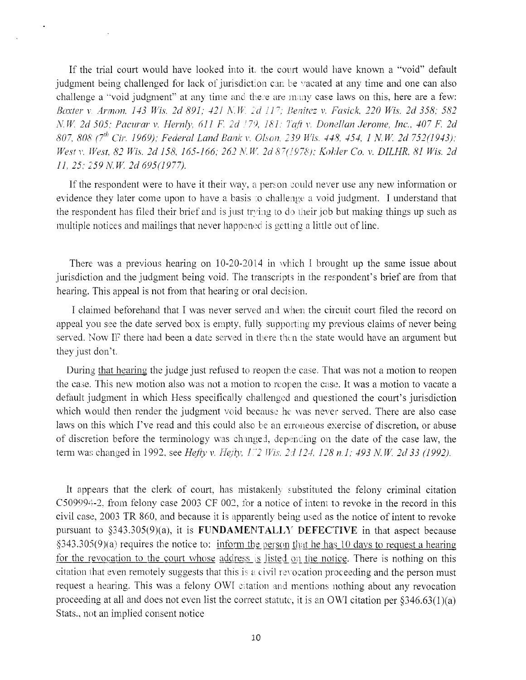If the trial court would have looked into it, the court would have known <sup>a</sup> "void" default judgment being challenged for lack of jurisdiction can be vacated at any time and one can also challenge a "void judgment'" at any time and there are many case laws on this, here are a few: *Baxter* v. *Armon, <sup>143</sup> Wis. 2d 891; <sup>421</sup>* A". IF. *2d ll~r; Benitez* v. *Fasick, 220 Wis. 2d 358; <sup>582</sup> NW. 2d 505; Pacurar* v. *Hernly, 611 F. 2d 179, 181; Taft* v. *Domllan Jerome, Inc., 407 F. 2d 807, 808 (7th Or. 1969); Federal Land Bank v. Olson, 239 Wis. 448. 454. <sup>1</sup> NW 2d 752(1943); Westv. West, 82 Wis. 2d 158. 165-166; 262 N.W. 2d 8~(J978); Kohler Co. v. DILHR, 81 Wis. 2d 11, 25; 259 N.W. 2d 695(1977).*

If the respondent were to have it their way, a person could never use any new information or evidence they later come upon to have <sup>a</sup> basis :o challenge <sup>a</sup> void judgment. I understand that the respondent has filed their brief and is just trying to do their job but making things up such as multiple notices and mailings that never happened is getting <sup>a</sup> little out of line.

There was <sup>a</sup> previous hearing on 10-20-2014 in which I brought up the same issue about jurisdiction and the judgment being void. The transcripts in the respondent's brief are from that hearing. This appeal is not from that hearing or oral decision.

I claimed beforehand that I was never served and when the circuit court filed the record on appeal you see the date served box is empty, fully supporting my previous claims of never being served. Now IF there had been a date served in there then the state would have an argument but they just don't.

During that hearing the judge just refused to reopen the case. That was not a motion to reopen the case. This new motion also was not a motion to reopen the case. It was a motion to vacate <sup>a</sup> default judgment in which Hess specifically challenged and questioned the court's jurisdiction which would then render the judgment void because he was never served. There are also case laws on this which I've read and this could also be an erroneous exercise of discretion, or abuse of discretion before the terminology was changed, depending on the date of the case law, the term was changed in 1992, see *Hefty* v. *Hefty, 172 Wis. 2:1124, 128 n.l; 493 N.W. 2d 33 (1992).*

It appears that the clerk of court, has mistakenly substituted the felony criminal citation C509994-2, from felony case 2003 CF 002, for <sup>a</sup> notice of intent to revoke in the record in this civil case, 2003 TR 860, and because it is apparently being used as the notice of intent to revoke pursuant to §343.305(9)(a), it is FUNDAMENTALLY DEFECTIVE in that aspect because  $\S$ 343.305(9)(a) requires the notice to: inform the person that he has 10 days to request a hearing for the revocation to the court whose address is listed on the notice. There is nothing on this citation that even remotely suggests that this is a civil revocation proceeding and the person must request a hearing. This was a felony OWI citation and mentions nothing about any revocation proceeding at all and does not even list the correct statute, it is an OWI citation per  $$346.63(1)(a)$ Stats., not an implied consent notice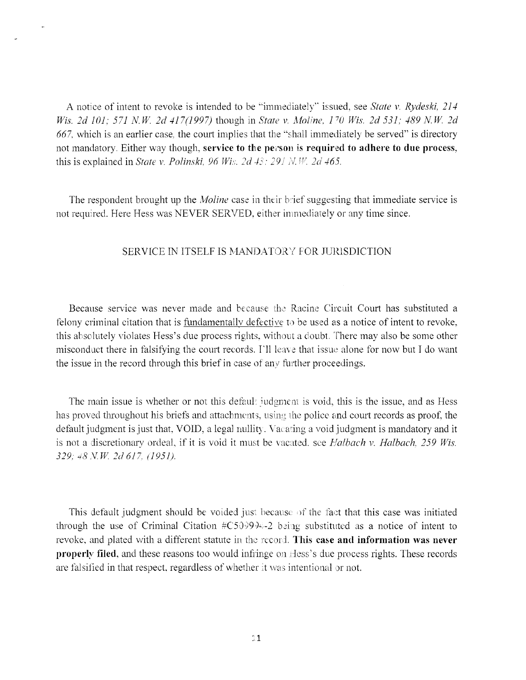A notice of intent to revoke is intended to be ''immediately'" issued, see *State* v. *Rydeski, 214 Wis. 2d 101; 571 N.W. 2d 417(1997)* though in *State v. Moline, 170 Wis. 2d 531; 489 N.W. 2d 667,* which is an earlier case, the court implies that the ''shall immediately be served" is directory not mandatory. Either way though, **service to the person** is **required to adhere to due process,** this is explained in *State* v. *Polimki, 96 Wis. 2d 4s: 291 N. W 2d 465.*

The respondent brought up the *Moline* case in their brief suggesting that immediate service is not required. Here Hess was NEVER SERVED, either immediately or any time since.

#### SERVICE IN ITSELF IS MANDATORY FOR JURISDICTION

Because service was never made and because the Racine Circuit Court has substituted a felony criminal citation that is fundamentally defecti ve to be used as <sup>a</sup> notice of intent to revoke, this absolutely violates Hess's due process rights, without <sup>a</sup> doubt. There may also be some other misconduct there in falsifying the court records. I'll leave that issue alone for now but I do want the issue in the record through this brief in case of any further proceedings.

The main issue is whether or not this default judgment is void, this is the issue, and as Hess has proved throughout his briefs and attachments, using the police and court records as proof, the default judgment is just that, VOID, a legal nullity. Vacating a void judgment is mandatory and it is not <sup>a</sup> discretionary ordeal, if it is void it must be vacated, see *Halbach* v. *Halbach, <sup>259</sup> Wis. 329; N.W. 2d 617, (1951).*

This default judgment should be voided just because of the fact that this case was initiated through the use of Criminal Citation  $\#C509994-2$  being substituted as a notice of intent to revoke, and plated with a different statute in the record. **This case and information was never properly filed,** and these reasons too would infringe on Hess's due process rights. These records are falsified in that respect, regardless of whether it was intentional or not.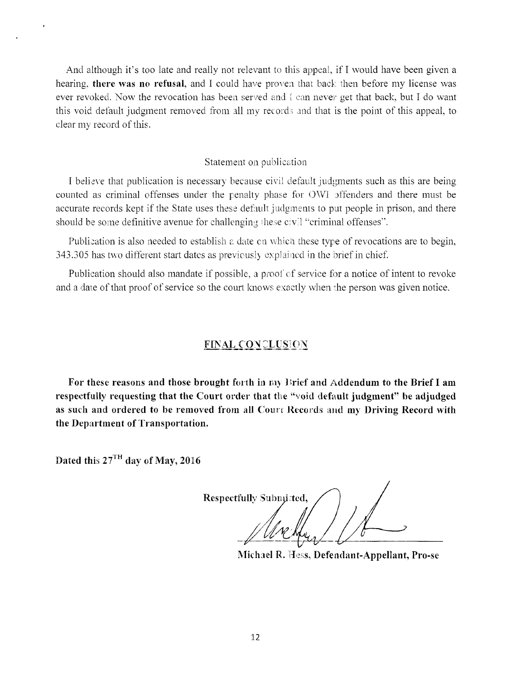And although it's too late and really not relevant to this appeal, if I would have been given <sup>a</sup> hearing, there was no refusal, and I could have proven that back then before my license was ever revoked. Now the revocation has been served and i can never get that back, but I do want this void default judgment removed from all my records and that is the point of this appeal, to clear my record of this.

#### Statement on publication

I believe that publication is necessary because civil default judgments such as this are being counted as criminal offenses under the penalty phase for OWI offenders and there must be accurate records kept if the State uses these default judgments to put people in prison, and there should be some definitive avenue for challenging these civil "criminal offenses".

Publication is also needed to establish <sup>a</sup> date on which these type of revocations are to begin, 343.305 has two different start dates as previously explained in the brief in chief

Publication should also mandate if possible, <sup>a</sup> proof of service for <sup>a</sup> notice of intent to revoke and a date of that proof of service so the court knows exactly when the person was given notice.

### FINAL CONCLUSION

For these reasons and those brought forth in my Brief and Addendum to the Brief I am respectfully requesting that the Court order that the "void default judgment" be adjudged as such and ordered to be removed from all Court Records and my Driving Record with the Department of Transportation.

Dated this  $27<sup>TH</sup>$  day of May, 2016

Respectfully Submitted,

Michael R. Hess, Defendant-Appellant, Pro-se